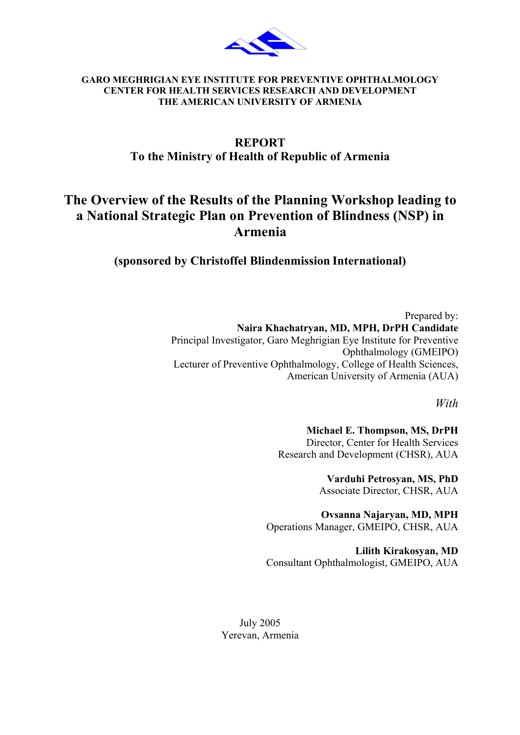

#### **GARO MEGHRIGIAN EYE INSTITUTE FOR PREVENTIVE OPHTHALMOLOGY CENTER FOR HEALTH SERVICES RESEARCH AND DEVELOPMENT THE AMERICAN UNIVERSITY OF ARMENIA**

## **REPORT To the Ministry of Health of Republic of Armenia**

# **The Overview of the Results of the Planning Workshop leading to a National Strategic Plan on Prevention of Blindness (NSP) in Armenia**

**(sponsored by Christoffel [Blindenmission](http://www.christoffel-blindenmission.de/) International)** 

Prepared by: **Naira Khachatryan, MD, MPH, DrPH Candidate**  Principal Investigator, Garo Meghrigian Eye Institute for Preventive Ophthalmology (GMEIPO) Lecturer of Preventive Ophthalmology, College of Health Sciences, American University of Armenia (AUA)

*With* 

**Michael E. Thompson, MS, DrPH**  Director, Center for Health Services Research and Development (CHSR), AUA

> **Varduhi Petrosyan, MS, PhD**  Associate Director, CHSR, AUA

**Ovsanna Najaryan, MD, MPH**  Operations Manager, GMEIPO, CHSR, AUA

**Lilith Kirakosyan, MD**  Consultant Ophthalmologist, GMEIPO, AUA

July 2005 Yerevan, Armenia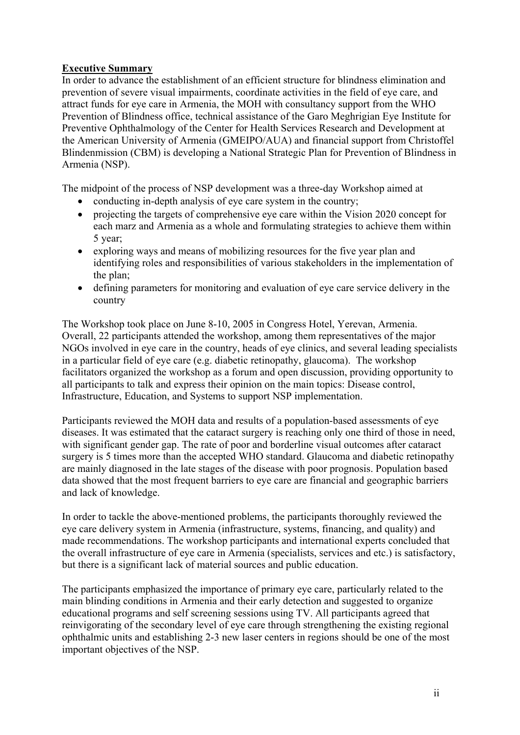### **Executive Summary**

In order to advance the establishment of an efficient structure for blindness elimination and prevention of severe visual impairments, coordinate activities in the field of eye care, and attract funds for eye care in Armenia, the MOH with consultancy support from the WHO Prevention of Blindness office, technical assistance of the Garo Meghrigian Eye Institute for Preventive Ophthalmology of the Center for Health Services Research and Development at the American University of Armenia (GMEIPO/AUA) and financial support from [Christoffel](http://www.christoffel-blindenmission.de/) [Blindenmission](http://www.christoffel-blindenmission.de/) (CBM) is developing a National Strategic Plan for Prevention of Blindness in Armenia (NSP).

The midpoint of the process of NSP development was a three-day Workshop aimed at

- conducting in-depth analysis of eye care system in the country;
- projecting the targets of comprehensive eye care within the Vision 2020 concept for each marz and Armenia as a whole and formulating strategies to achieve them within 5 year;
- exploring ways and means of mobilizing resources for the five year plan and identifying roles and responsibilities of various stakeholders in the implementation of the plan;
- defining parameters for monitoring and evaluation of eye care service delivery in the country

The Workshop took place on June 8-10, 2005 in Congress Hotel, Yerevan, Armenia. Overall, 22 participants attended the workshop, among them representatives of the major NGOs involved in eye care in the country, heads of eye clinics, and several leading specialists in a particular field of eye care (e.g. diabetic retinopathy, glaucoma). The workshop facilitators organized the workshop as a forum and open discussion, providing opportunity to all participants to talk and express their opinion on the main topics: Disease control, Infrastructure, Education, and Systems to support NSP implementation.

Participants reviewed the MOH data and results of a population-based assessments of eye diseases. It was estimated that the cataract surgery is reaching only one third of those in need, with significant gender gap. The rate of poor and borderline visual outcomes after cataract surgery is 5 times more than the accepted WHO standard. Glaucoma and diabetic retinopathy are mainly diagnosed in the late stages of the disease with poor prognosis. Population based data showed that the most frequent barriers to eye care are financial and geographic barriers and lack of knowledge.

In order to tackle the above-mentioned problems, the participants thoroughly reviewed the eye care delivery system in Armenia (infrastructure, systems, financing, and quality) and made recommendations. The workshop participants and international experts concluded that the overall infrastructure of eye care in Armenia (specialists, services and etc.) is satisfactory, but there is a significant lack of material sources and public education.

The participants emphasized the importance of primary eye care, particularly related to the main blinding conditions in Armenia and their early detection and suggested to organize educational programs and self screening sessions using TV. All participants agreed that reinvigorating of the secondary level of eye care through strengthening the existing regional ophthalmic units and establishing 2-3 new laser centers in regions should be one of the most important objectives of the NSP.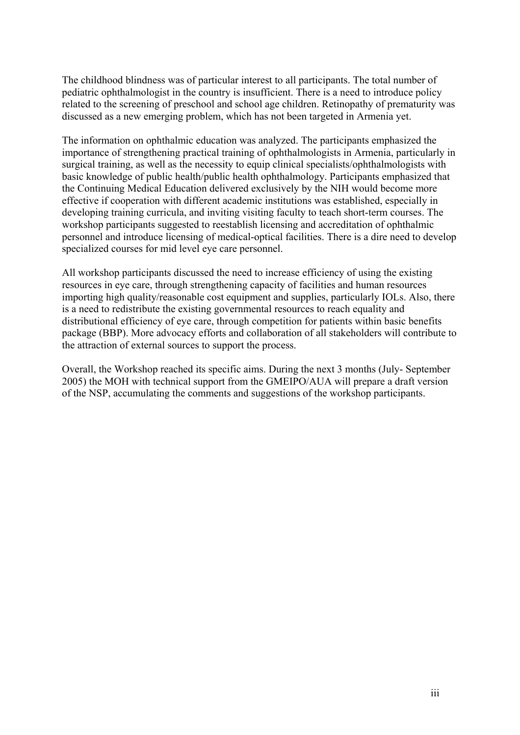The childhood blindness was of particular interest to all participants. The total number of pediatric ophthalmologist in the country is insufficient. There is a need to introduce policy related to the screening of preschool and school age children. Retinopathy of prematurity was discussed as a new emerging problem, which has not been targeted in Armenia yet.

The information on ophthalmic education was analyzed. The participants emphasized the importance of strengthening practical training of ophthalmologists in Armenia, particularly in surgical training, as well as the necessity to equip clinical specialists/ophthalmologists with basic knowledge of public health/public health ophthalmology. Participants emphasized that the Continuing Medical Education delivered exclusively by the NIH would become more effective if cooperation with different academic institutions was established, especially in developing training curricula, and inviting visiting faculty to teach short-term courses. The workshop participants suggested to reestablish licensing and accreditation of ophthalmic personnel and introduce licensing of medical-optical facilities. There is a dire need to develop specialized courses for mid level eye care personnel.

All workshop participants discussed the need to increase efficiency of using the existing resources in eye care, through strengthening capacity of facilities and human resources importing high quality/reasonable cost equipment and supplies, particularly IOLs. Also, there is a need to redistribute the existing governmental resources to reach equality and distributional efficiency of eye care, through competition for patients within basic benefits package (BBP). More advocacy efforts and collaboration of all stakeholders will contribute to the attraction of external sources to support the process.

Overall, the Workshop reached its specific aims. During the next 3 months (July- September 2005) the MOH with technical support from the GMEIPO/AUA will prepare a draft version of the NSP, accumulating the comments and suggestions of the workshop participants.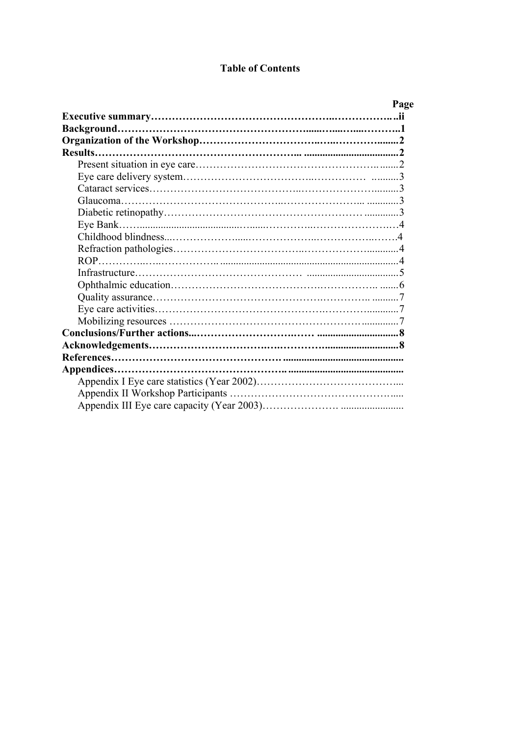## **Table of Contents**

|         | Page |
|---------|------|
|         |      |
|         |      |
|         |      |
| Results |      |
|         |      |
|         |      |
|         |      |
|         |      |
|         |      |
|         |      |
|         |      |
|         |      |
|         |      |
|         |      |
|         |      |
|         |      |
|         |      |
|         |      |
|         |      |
|         |      |
|         |      |
|         |      |
|         |      |
|         |      |
|         |      |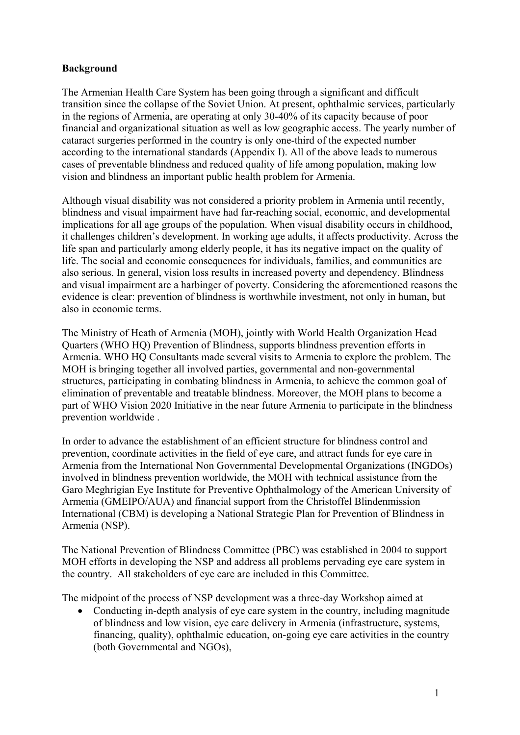### **Background**

The Armenian Health Care System has been going through a significant and difficult transition since the collapse of the Soviet Union. At present, ophthalmic services, particularly in the regions of Armenia, are operating at only 30-40% of its capacity because of poor financial and organizational situation as well as low geographic access. The yearly number of cataract surgeries performed in the country is only one-third of the expected number according to the international standards (Appendix I). All of the above leads to numerous cases of preventable blindness and reduced quality of life among population, making low vision and blindness an important public health problem for Armenia.

Although visual disability was not considered a priority problem in Armenia until recently, blindness and visual impairment have had far-reaching social, economic, and developmental implications for all age groups of the population. When visual disability occurs in childhood, it challenges children's development. In working age adults, it affects productivity. Across the life span and particularly among elderly people, it has its negative impact on the quality of life. The social and economic consequences for individuals, families, and communities are also serious. In general, vision loss results in increased poverty and dependency. Blindness and visual impairment are a harbinger of poverty. Considering the aforementioned reasons the evidence is clear: prevention of blindness is worthwhile investment, not only in human, but also in economic terms.

The Ministry of Heath of Armenia (MOH), jointly with World Health Organization Head Quarters (WHO HQ) Prevention of Blindness, supports blindness prevention efforts in Armenia. WHO HQ Consultants made several visits to Armenia to explore the problem. The MOH is bringing together all involved parties, governmental and non-governmental structures, participating in combating blindness in Armenia, to achieve the common goal of elimination of preventable and treatable blindness. Moreover, the MOH plans to become a part of WHO Vision 2020 Initiative in the near future Armenia to participate in the blindness prevention worldwide .

In order to advance the establishment of an efficient structure for blindness control and prevention, coordinate activities in the field of eye care, and attract funds for eye care in Armenia from the International Non Governmental Developmental Organizations (INGDOs) involved in blindness prevention worldwide, the MOH with technical assistance from the Garo Meghrigian Eye Institute for Preventive Ophthalmology of the American University of Armenia (GMEIPO/AUA) and financial support from the Christoffel [Blindenmission](http://www.christoffel-blindenmission.de/) International (CBM) is developing a National Strategic Plan for Prevention of Blindness in Armenia (NSP).

The National Prevention of Blindness Committee (PBC) was established in 2004 to support MOH efforts in developing the NSP and address all problems pervading eye care system in the country. All stakeholders of eye care are included in this Committee.

The midpoint of the process of NSP development was a three-day Workshop aimed at

• Conducting in-depth analysis of eye care system in the country, including magnitude of blindness and low vision, eye care delivery in Armenia (infrastructure, systems, financing, quality), ophthalmic education, on-going eye care activities in the country (both Governmental and NGOs),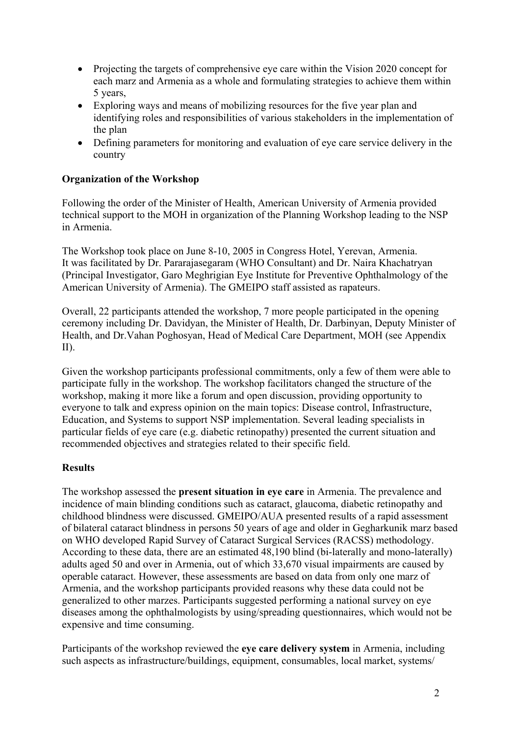- Projecting the targets of comprehensive eye care within the Vision 2020 concept for each marz and Armenia as a whole and formulating strategies to achieve them within 5 years,
- Exploring ways and means of mobilizing resources for the five year plan and identifying roles and responsibilities of various stakeholders in the implementation of the plan
- Defining parameters for monitoring and evaluation of eye care service delivery in the country

#### **Organization of the Workshop**

Following the order of the Minister of Health, American University of Armenia provided technical support to the MOH in organization of the Planning Workshop leading to the NSP in Armenia.

The Workshop took place on June 8-10, 2005 in Congress Hotel, Yerevan, Armenia. It was facilitated by Dr. Pararajasegaram (WHO Consultant) and Dr. Naira Khachatryan (Principal Investigator, Garo Meghrigian Eye Institute for Preventive Ophthalmology of the American University of Armenia). The GMEIPO staff assisted as rapateurs.

Overall, 22 participants attended the workshop, 7 more people participated in the opening ceremony including Dr. Davidyan, the Minister of Health, Dr. Darbinyan, Deputy Minister of Health, and Dr.Vahan Poghosyan, Head of Medical Care Department, MOH (see Appendix II).

Given the workshop participants professional commitments, only a few of them were able to participate fully in the workshop. The workshop facilitators changed the structure of the workshop, making it more like a forum and open discussion, providing opportunity to everyone to talk and express opinion on the main topics: Disease control, Infrastructure, Education, and Systems to support NSP implementation. Several leading specialists in particular fields of eye care (e.g. diabetic retinopathy) presented the current situation and recommended objectives and strategies related to their specific field.

#### **Results**

The workshop assessed the **present situation in eye care** in Armenia. The prevalence and incidence of main blinding conditions such as cataract, glaucoma, diabetic retinopathy and childhood blindness were discussed. GMEIPO/AUA presented results of a rapid assessment of bilateral cataract blindness in persons 50 years of age and older in Gegharkunik marz based on WHO developed Rapid Survey of Cataract Surgical Services (RACSS) methodology. According to these data, there are an estimated 48,190 blind (bi-laterally and mono-laterally) adults aged 50 and over in Armenia, out of which 33,670 visual impairments are caused by operable cataract. However, these assessments are based on data from only one marz of Armenia, and the workshop participants provided reasons why these data could not be generalized to other marzes. Participants suggested performing a national survey on eye diseases among the ophthalmologists by using/spreading questionnaires, which would not be expensive and time consuming.

Participants of the workshop reviewed the **eye care delivery system** in Armenia, including such aspects as infrastructure/buildings, equipment, consumables, local market, systems/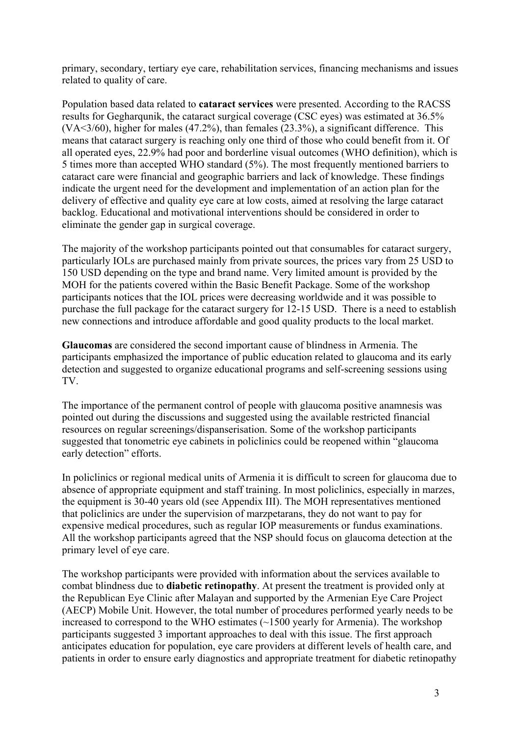primary, secondary, tertiary eye care, rehabilitation services, financing mechanisms and issues related to quality of care.

Population based data related to **cataract services** were presented. According to the RACSS results for Gegharqunik, the cataract surgical coverage (CSC eyes) was estimated at 36.5% (VA<3/60), higher for males (47.2%), than females (23.3%), a significant difference. This means that cataract surgery is reaching only one third of those who could benefit from it. Of all operated eyes, 22.9% had poor and borderline visual outcomes (WHO definition), which is 5 times more than accepted WHO standard (5%). The most frequently mentioned barriers to cataract care were financial and geographic barriers and lack of knowledge. These findings indicate the urgent need for the development and implementation of an action plan for the delivery of effective and quality eye care at low costs, aimed at resolving the large cataract backlog. Educational and motivational interventions should be considered in order to eliminate the gender gap in surgical coverage.

The majority of the workshop participants pointed out that consumables for cataract surgery, particularly IOLs are purchased mainly from private sources, the prices vary from 25 USD to 150 USD depending on the type and brand name. Very limited amount is provided by the MOH for the patients covered within the Basic Benefit Package. Some of the workshop participants notices that the IOL prices were decreasing worldwide and it was possible to purchase the full package for the cataract surgery for 12-15 USD. There is a need to establish new connections and introduce affordable and good quality products to the local market.

**Glaucomas** are considered the second important cause of blindness in Armenia. The participants emphasized the importance of public education related to glaucoma and its early detection and suggested to organize educational programs and self-screening sessions using TV.

The importance of the permanent control of people with glaucoma positive anamnesis was pointed out during the discussions and suggested using the available restricted financial resources on regular screenings/dispanserisation. Some of the workshop participants suggested that tonometric eye cabinets in policlinics could be reopened within "glaucoma early detection" efforts.

In policlinics or regional medical units of Armenia it is difficult to screen for glaucoma due to absence of appropriate equipment and staff training. In most policlinics, especially in marzes, the equipment is 30-40 years old (see Appendix III). The MOH representatives mentioned that policlinics are under the supervision of marzpetarans, they do not want to pay for expensive medical procedures, such as regular IOP measurements or fundus examinations. All the workshop participants agreed that the NSP should focus on glaucoma detection at the primary level of eye care.

The workshop participants were provided with information about the services available to combat blindness due to **diabetic retinopathy**. At present the treatment is provided only at the Republican Eye Clinic after Malayan and supported by the Armenian Eye Care Project (AECP) Mobile Unit. However, the total number of procedures performed yearly needs to be increased to correspond to the WHO estimates (~1500 yearly for Armenia). The workshop participants suggested 3 important approaches to deal with this issue. The first approach anticipates education for population, eye care providers at different levels of health care, and patients in order to ensure early diagnostics and appropriate treatment for diabetic retinopathy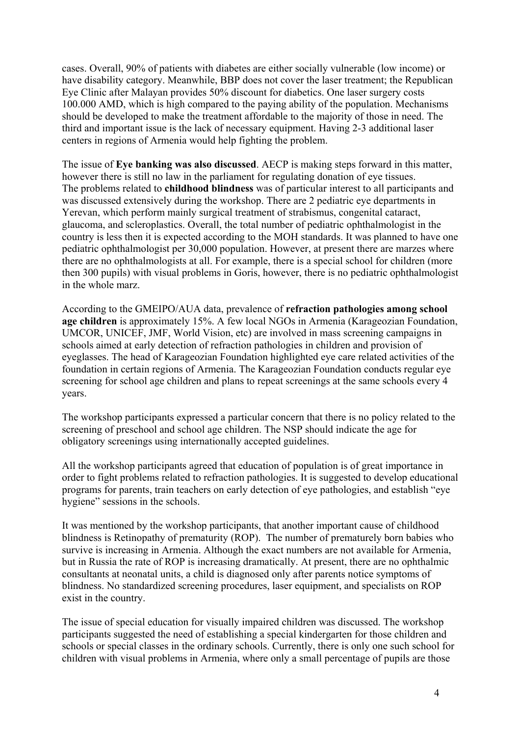cases. Overall, 90% of patients with diabetes are either socially vulnerable (low income) or have disability category. Meanwhile, BBP does not cover the laser treatment; the Republican Eye Clinic after Malayan provides 50% discount for diabetics. One laser surgery costs 100.000 AMD, which is high compared to the paying ability of the population. Mechanisms should be developed to make the treatment affordable to the majority of those in need. The third and important issue is the lack of necessary equipment. Having 2-3 additional laser centers in regions of Armenia would help fighting the problem.

The issue of **Eye banking was also discussed**. AECP is making steps forward in this matter, however there is still no law in the parliament for regulating donation of eye tissues. The problems related to **childhood blindness** was of particular interest to all participants and was discussed extensively during the workshop. There are 2 pediatric eye departments in Yerevan, which perform mainly surgical treatment of strabismus, congenital cataract, glaucoma, and scleroplastics. Overall, the total number of pediatric ophthalmologist in the country is less then it is expected according to the MOH standards. It was planned to have one pediatric ophthalmologist per 30,000 population. However, at present there are marzes where there are no ophthalmologists at all. For example, there is a special school for children (more then 300 pupils) with visual problems in Goris, however, there is no pediatric ophthalmologist in the whole marz.

According to the GMEIPO/AUA data, prevalence of **refraction pathologies among school age children** is approximately 15%. A few local NGOs in Armenia (Karageozian Foundation, UMCOR, UNICEF, JMF, World Vision, etc) are involved in mass screening campaigns in schools aimed at early detection of refraction pathologies in children and provision of eyeglasses. The head of Karageozian Foundation highlighted eye care related activities of the foundation in certain regions of Armenia. The Karageozian Foundation conducts regular eye screening for school age children and plans to repeat screenings at the same schools every 4 years.

The workshop participants expressed a particular concern that there is no policy related to the screening of preschool and school age children. The NSP should indicate the age for obligatory screenings using internationally accepted guidelines.

All the workshop participants agreed that education of population is of great importance in order to fight problems related to refraction pathologies. It is suggested to develop educational programs for parents, train teachers on early detection of eye pathologies, and establish "eye hygiene" sessions in the schools.

It was mentioned by the workshop participants, that another important cause of childhood blindness is Retinopathy of prematurity (ROP). The number of prematurely born babies who survive is increasing in Armenia. Although the exact numbers are not available for Armenia, but in Russia the rate of ROP is increasing dramatically. At present, there are no ophthalmic consultants at neonatal units, a child is diagnosed only after parents notice symptoms of blindness. No standardized screening procedures, laser equipment, and specialists on ROP exist in the country.

The issue of special education for visually impaired children was discussed. The workshop participants suggested the need of establishing a special kindergarten for those children and schools or special classes in the ordinary schools. Currently, there is only one such school for children with visual problems in Armenia, where only a small percentage of pupils are those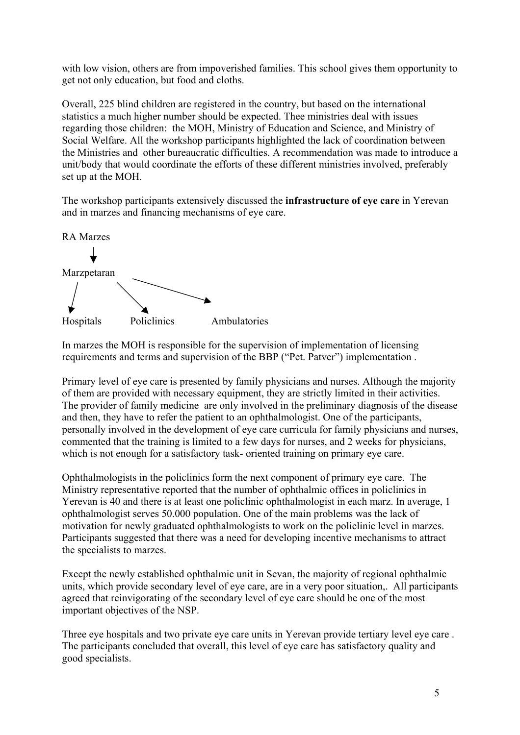with low vision, others are from impoverished families. This school gives them opportunity to get not only education, but food and cloths.

Overall, 225 blind children are registered in the country, but based on the international statistics a much higher number should be expected. Thee ministries deal with issues regarding those children: the MOH, Ministry of Education and Science, and Ministry of Social Welfare. All the workshop participants highlighted the lack of coordination between the Ministries and other bureaucratic difficulties. A recommendation was made to introduce a unit/body that would coordinate the efforts of these different ministries involved, preferably set up at the MOH.

The workshop participants extensively discussed the **infrastructure of eye care** in Yerevan and in marzes and financing mechanisms of eye care.



In marzes the MOH is responsible for the supervision of implementation of licensing requirements and terms and supervision of the BBP ("Pet. Patver") implementation .

Primary level of eye care is presented by family physicians and nurses. Although the majority of them are provided with necessary equipment, they are strictly limited in their activities. The provider of family medicine are only involved in the preliminary diagnosis of the disease and then, they have to refer the patient to an ophthalmologist. One of the participants, personally involved in the development of eye care curricula for family physicians and nurses, commented that the training is limited to a few days for nurses, and 2 weeks for physicians, which is not enough for a satisfactory task- oriented training on primary eye care.

Ophthalmologists in the policlinics form the next component of primary eye care. The Ministry representative reported that the number of ophthalmic offices in policlinics in Yerevan is 40 and there is at least one policlinic ophthalmologist in each marz. In average, 1 ophthalmologist serves 50.000 population. One of the main problems was the lack of motivation for newly graduated ophthalmologists to work on the policlinic level in marzes. Participants suggested that there was a need for developing incentive mechanisms to attract the specialists to marzes.

Except the newly established ophthalmic unit in Sevan, the majority of regional ophthalmic units, which provide secondary level of eye care, are in a very poor situation,. All participants agreed that reinvigorating of the secondary level of eye care should be one of the most important objectives of the NSP.

Three eye hospitals and two private eye care units in Yerevan provide tertiary level eye care . The participants concluded that overall, this level of eye care has satisfactory quality and good specialists.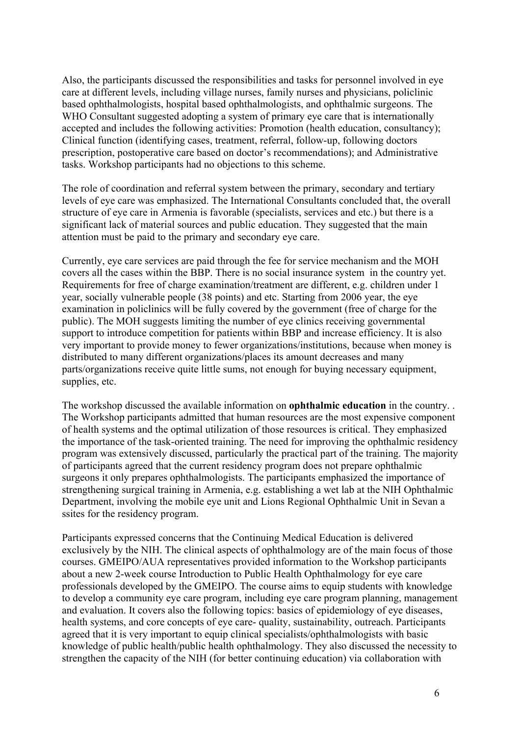Also, the participants discussed the responsibilities and tasks for personnel involved in eye care at different levels, including village nurses, family nurses and physicians, policlinic based ophthalmologists, hospital based ophthalmologists, and ophthalmic surgeons. The WHO Consultant suggested adopting a system of primary eye care that is internationally accepted and includes the following activities: Promotion (health education, consultancy); Clinical function (identifying cases, treatment, referral, follow-up, following doctors prescription, postoperative care based on doctor's recommendations); and Administrative tasks. Workshop participants had no objections to this scheme.

The role of coordination and referral system between the primary, secondary and tertiary levels of eye care was emphasized. The International Consultants concluded that, the overall structure of eye care in Armenia is favorable (specialists, services and etc.) but there is a significant lack of material sources and public education. They suggested that the main attention must be paid to the primary and secondary eye care.

Currently, eye care services are paid through the fee for service mechanism and the MOH covers all the cases within the BBP. There is no social insurance system in the country yet. Requirements for free of charge examination/treatment are different, e.g. children under 1 year, socially vulnerable people (38 points) and etc. Starting from 2006 year, the eye examination in policlinics will be fully covered by the government (free of charge for the public). The MOH suggests limiting the number of eye clinics receiving governmental support to introduce competition for patients within BBP and increase efficiency. It is also very important to provide money to fewer organizations/institutions, because when money is distributed to many different organizations/places its amount decreases and many parts/organizations receive quite little sums, not enough for buying necessary equipment, supplies, etc.

The workshop discussed the available information on **ophthalmic education** in the country. . The Workshop participants admitted that human resources are the most expensive component of health systems and the optimal utilization of those resources is critical. They emphasized the importance of the task-oriented training. The need for improving the ophthalmic residency program was extensively discussed, particularly the practical part of the training. The majority of participants agreed that the current residency program does not prepare ophthalmic surgeons it only prepares ophthalmologists. The participants emphasized the importance of strengthening surgical training in Armenia, e.g. establishing a wet lab at the NIH Ophthalmic Department, involving the mobile eye unit and Lions Regional Ophthalmic Unit in Sevan a ssites for the residency program.

Participants expressed concerns that the Continuing Medical Education is delivered exclusively by the NIH. The clinical aspects of ophthalmology are of the main focus of those courses. GMEIPO/AUA representatives provided information to the Workshop participants about a new 2-week course Introduction to Public Health Ophthalmology for eye care professionals developed by the GMEIPO. The course aims to equip students with knowledge to develop a community eye care program, including eye care program planning, management and evaluation. It covers also the following topics: basics of epidemiology of eye diseases, health systems, and core concepts of eye care- quality, sustainability, outreach. Participants agreed that it is very important to equip clinical specialists/ophthalmologists with basic knowledge of public health/public health ophthalmology. They also discussed the necessity to strengthen the capacity of the NIH (for better continuing education) via collaboration with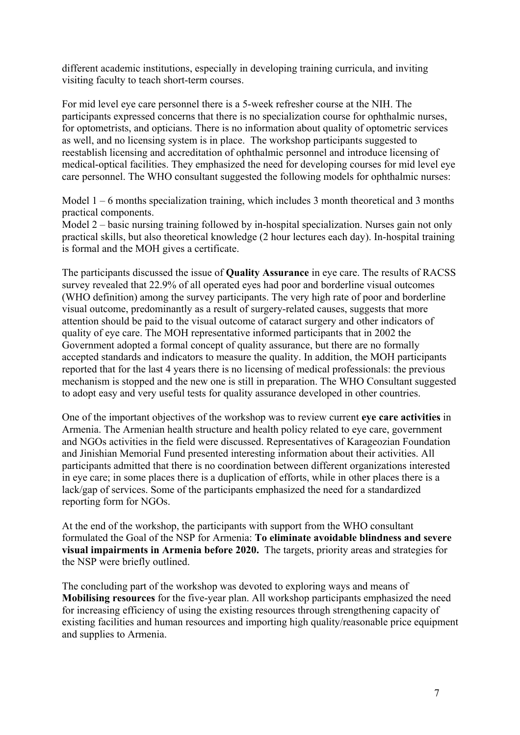different academic institutions, especially in developing training curricula, and inviting visiting faculty to teach short-term courses.

For mid level eye care personnel there is a 5-week refresher course at the NIH. The participants expressed concerns that there is no specialization course for ophthalmic nurses, for optometrists, and opticians. There is no information about quality of optometric services as well, and no licensing system is in place. The workshop participants suggested to reestablish licensing and accreditation of ophthalmic personnel and introduce licensing of medical-optical facilities. They emphasized the need for developing courses for mid level eye care personnel. The WHO consultant suggested the following models for ophthalmic nurses:

Model  $1 - 6$  months specialization training, which includes 3 month theoretical and 3 months practical components.

Model 2 – basic nursing training followed by in-hospital specialization. Nurses gain not only practical skills, but also theoretical knowledge (2 hour lectures each day). In-hospital training is formal and the MOH gives a certificate.

The participants discussed the issue of **Quality Assurance** in eye care. The results of RACSS survey revealed that 22.9% of all operated eyes had poor and borderline visual outcomes (WHO definition) among the survey participants. The very high rate of poor and borderline visual outcome, predominantly as a result of surgery-related causes, suggests that more attention should be paid to the visual outcome of cataract surgery and other indicators of quality of eye care. The MOH representative informed participants that in 2002 the Government adopted a formal concept of quality assurance, but there are no formally accepted standards and indicators to measure the quality. In addition, the MOH participants reported that for the last 4 years there is no licensing of medical professionals: the previous mechanism is stopped and the new one is still in preparation. The WHO Consultant suggested to adopt easy and very useful tests for quality assurance developed in other countries.

One of the important objectives of the workshop was to review current **eye care activities** in Armenia. The Armenian health structure and health policy related to eye care, government and NGOs activities in the field were discussed. Representatives of Karageozian Foundation and Jinishian Memorial Fund presented interesting information about their activities. All participants admitted that there is no coordination between different organizations interested in eye care; in some places there is a duplication of efforts, while in other places there is a lack/gap of services. Some of the participants emphasized the need for a standardized reporting form for NGOs.

At the end of the workshop, the participants with support from the WHO consultant formulated the Goal of the NSP for Armenia: **To eliminate avoidable blindness and severe visual impairments in Armenia before 2020.** The targets, priority areas and strategies for the NSP were briefly outlined.

The concluding part of the workshop was devoted to exploring ways and means of **Mobilising resources** for the five-year plan. All workshop participants emphasized the need for increasing efficiency of using the existing resources through strengthening capacity of existing facilities and human resources and importing high quality/reasonable price equipment and supplies to Armenia.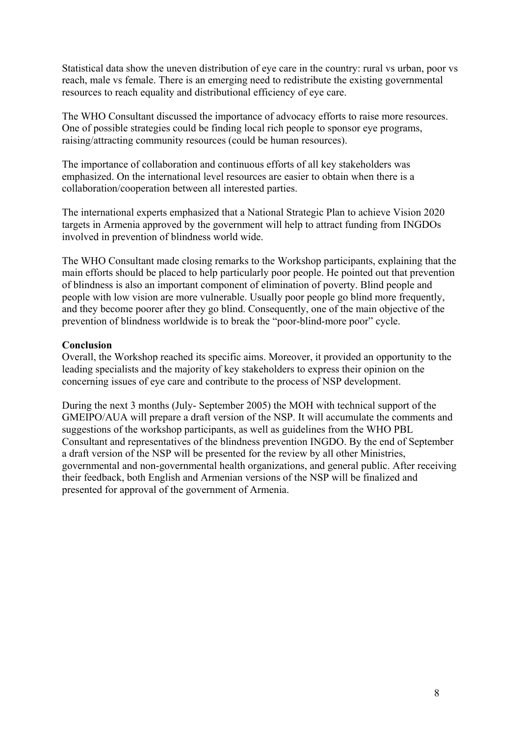Statistical data show the uneven distribution of eye care in the country: rural vs urban, poor vs reach, male vs female. There is an emerging need to redistribute the existing governmental resources to reach equality and distributional efficiency of eye care.

The WHO Consultant discussed the importance of advocacy efforts to raise more resources. One of possible strategies could be finding local rich people to sponsor eye programs, raising/attracting community resources (could be human resources).

The importance of collaboration and continuous efforts of all key stakeholders was emphasized. On the international level resources are easier to obtain when there is a collaboration/cooperation between all interested parties.

The international experts emphasized that a National Strategic Plan to achieve Vision 2020 targets in Armenia approved by the government will help to attract funding from INGDOs involved in prevention of blindness world wide.

The WHO Consultant made closing remarks to the Workshop participants, explaining that the main efforts should be placed to help particularly poor people. He pointed out that prevention of blindness is also an important component of elimination of poverty. Blind people and people with low vision are more vulnerable. Usually poor people go blind more frequently, and they become poorer after they go blind. Consequently, one of the main objective of the prevention of blindness worldwide is to break the "poor-blind-more poor" cycle.

#### **Conclusion**

Overall, the Workshop reached its specific aims. Moreover, it provided an opportunity to the leading specialists and the majority of key stakeholders to express their opinion on the concerning issues of eye care and contribute to the process of NSP development.

During the next 3 months (July- September 2005) the MOH with technical support of the GMEIPO/AUA will prepare a draft version of the NSP. It will accumulate the comments and suggestions of the workshop participants, as well as guidelines from the WHO PBL Consultant and representatives of the blindness prevention INGDO. By the end of September a draft version of the NSP will be presented for the review by all other Ministries, governmental and non-governmental health organizations, and general public. After receiving their feedback, both English and Armenian versions of the NSP will be finalized and presented for approval of the government of Armenia.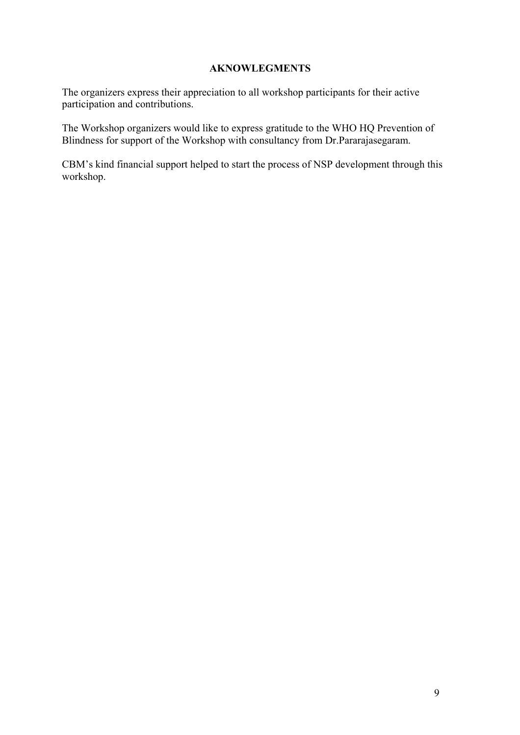#### **AKNOWLEGMENTS**

The organizers express their appreciation to all workshop participants for their active participation and contributions.

The Workshop organizers would like to express gratitude to the WHO HQ Prevention of Blindness for support of the Workshop with consultancy from Dr.Pararajasegaram.

CBM's kind financial support helped to start the process of NSP development through this workshop.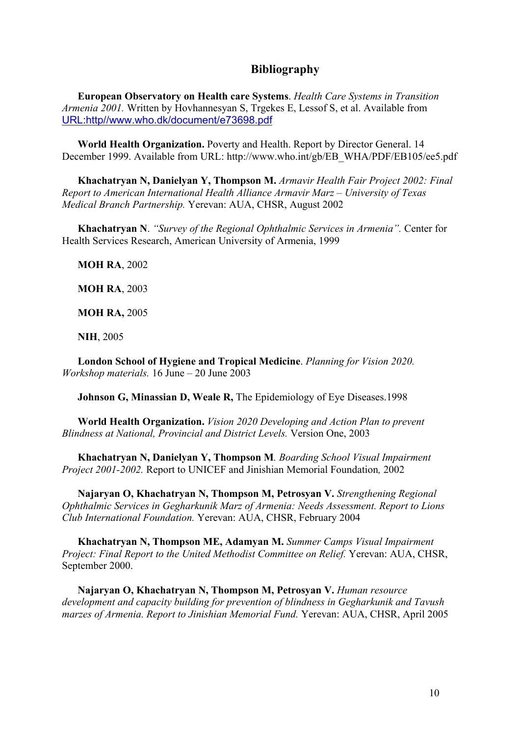## **Bibliography**

**European Observatory on Health care Systems**. *Health Care Systems in Transition Armenia 2001.* Written by Hovhannesyan S, Trgekes E, Lessof S, et al. Available from URL:http//www.who.dk/document/e73698.pdf

**World Health Organization.** Poverty and Health. Report by Director General. 14 December 1999. Available from URL: [http://www.who.int/gb/EB\\_WHA/PDF/EB105/ee5.pdf](http://www.who.int/gb/EB_WHA/PDF/EB105/ee5.pdf)

**Khachatryan N, Danielyan Y, Thompson M.** *Armavir Health Fair Project 2002: Final Report to American International Health Alliance Armavir Marz – University of Texas Medical Branch Partnership.* Yerevan: AUA, CHSR, August 2002

**Khachatryan N**. *"Survey of the Regional Ophthalmic Services in Armenia".* Center for Health Services Research, American University of Armenia, 1999

**MOH RA**, 2002

**MOH RA**, 2003

**MOH RA,** 2005

**NIH**, 2005

**London School of Hygiene and Tropical Medicine**. *Planning for Vision 2020. Workshop materials.* 16 June – 20 June 2003

**Johnson G, Minassian D, Weale R,** The Epidemiology of Eye Diseases.1998

**World Health Organization.** *Vision 2020 Developing and Action Plan to prevent Blindness at National, Provincial and District Levels.* Version One, 2003

**Khachatryan N, Danielyan Y, Thompson M***. Boarding School Visual Impairment Project 2001-2002.* Report to UNICEF and Jinishian Memorial Foundation*,* 2002

**Najaryan O, Khachatryan N, Thompson M, Petrosyan V.** *Strengthening Regional Ophthalmic Services in Gegharkunik Marz of Armenia: Needs Assessment. Report to Lions Club International Foundation.* Yerevan: AUA, CHSR, February 2004

**Khachatryan N, Thompson ME, Adamyan M.** *Summer Camps Visual Impairment Project: Final Report to the United Methodist Committee on Relief.* Yerevan: AUA, CHSR, September 2000.

**Najaryan O, Khachatryan N, Thompson M, Petrosyan V.** *Human resource development and capacity building for prevention of blindness in Gegharkunik and Tavush marzes of Armenia. Report to Jinishian Memorial Fund.* Yerevan: AUA, CHSR, April 2005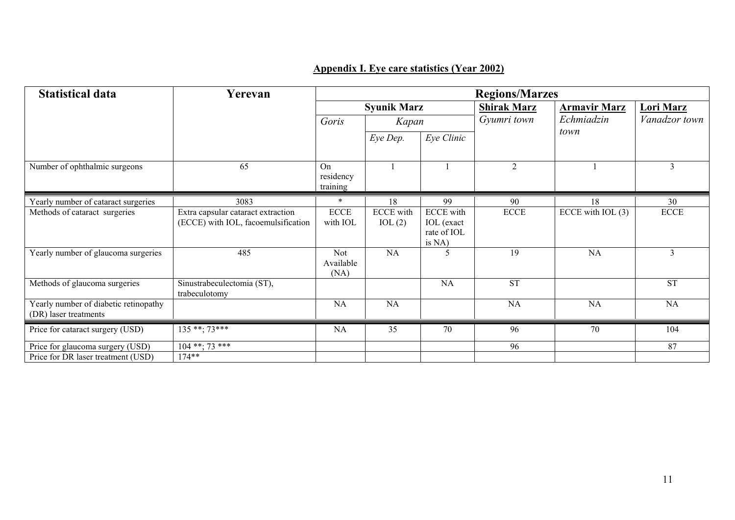# **Appendix I. Eye care statistics (Year 2002)**

| <b>Statistical data</b>                                        | Yerevan                                                                   | <b>Regions/Marzes</b>           |                            |                                                                |                    |                     |                  |
|----------------------------------------------------------------|---------------------------------------------------------------------------|---------------------------------|----------------------------|----------------------------------------------------------------|--------------------|---------------------|------------------|
|                                                                |                                                                           | <b>Syunik Marz</b>              |                            |                                                                | <b>Shirak Marz</b> | <b>Armavir Marz</b> | <b>Lori Marz</b> |
|                                                                |                                                                           | Goris                           | Kapan                      |                                                                | Gyumri town        | Echmiadzin          | Vanadzor town    |
|                                                                |                                                                           |                                 | Eye Dep.                   | Eye Clinic                                                     |                    | town                |                  |
| Number of ophthalmic surgeons                                  | 65                                                                        | On<br>residency<br>training     |                            |                                                                | $\overline{2}$     |                     | 3                |
| Yearly number of cataract surgeries                            | 3083                                                                      | $\ast$                          | 18                         | 99                                                             | 90                 | 18                  | 30               |
| Methods of cataract surgeries                                  | Extra capsular cataract extraction<br>(ECCE) with IOL, facoemulsification | <b>ECCE</b><br>with IOL         | <b>ECCE</b> with<br>IOL(2) | <b>ECCE</b> with<br><b>IOL</b> (exact<br>rate of IOL<br>is NA) | <b>ECCE</b>        | ECCE with $IOL(3)$  | <b>ECCE</b>      |
| Yearly number of glaucoma surgeries                            | 485                                                                       | <b>Not</b><br>Available<br>(NA) | NA                         | 5                                                              | 19                 | <b>NA</b>           | 3                |
| Methods of glaucoma surgeries                                  | Sinustrabeculectomia (ST),<br>trabeculotomy                               |                                 |                            | <b>NA</b>                                                      | <b>ST</b>          |                     | <b>ST</b>        |
| Yearly number of diabetic retinopathy<br>(DR) laser treatments |                                                                           | <b>NA</b>                       | NA                         |                                                                | NA                 | <b>NA</b>           | <b>NA</b>        |
| Price for cataract surgery (USD)                               | $135***$ : 73***                                                          | NA                              | 35                         | 70                                                             | 96                 | $\overline{70}$     | 104              |
| Price for glaucoma surgery (USD)                               | $104$ **; 73 ***                                                          |                                 |                            |                                                                | 96                 |                     | 87               |
| Price for DR laser treatment (USD)                             | $174**$                                                                   |                                 |                            |                                                                |                    |                     |                  |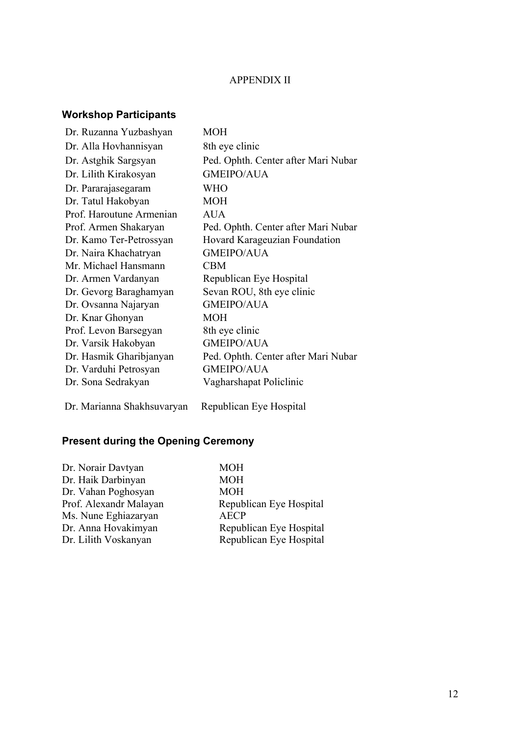## APPENDIX II

# **Workshop Participants**

| Dr. Ruzanna Yuzbashyan   | <b>MOH</b>                          |
|--------------------------|-------------------------------------|
| Dr. Alla Hovhannisyan    | 8th eye clinic                      |
| Dr. Astghik Sargsyan     | Ped. Ophth. Center after Mari Nubar |
| Dr. Lilith Kirakosyan    | <b>GMEIPO/AUA</b>                   |
| Dr. Pararajasegaram      | <b>WHO</b>                          |
| Dr. Tatul Hakobyan       | <b>MOH</b>                          |
| Prof. Haroutune Armenian | AUA                                 |
| Prof. Armen Shakaryan    | Ped. Ophth. Center after Mari Nubar |
| Dr. Kamo Ter-Petrossyan  | Hovard Karageuzian Foundation       |
| Dr. Naira Khachatryan    | <b>GMEIPO/AUA</b>                   |
| Mr. Michael Hansmann     | <b>CBM</b>                          |
| Dr. Armen Vardanyan      | Republican Eye Hospital             |
| Dr. Gevorg Baraghamyan   | Sevan ROU, 8th eye clinic           |
| Dr. Ovsanna Najaryan     | <b>GMEIPO/AUA</b>                   |
| Dr. Knar Ghonyan         | <b>MOH</b>                          |
| Prof. Levon Barsegyan    | 8th eye clinic                      |
| Dr. Varsik Hakobyan      | <b>GMEIPO/AUA</b>                   |
| Dr. Hasmik Gharibjanyan  | Ped. Ophth. Center after Mari Nubar |
| Dr. Varduhi Petrosyan    | <b>GMEIPO/AUA</b>                   |
| Dr. Sona Sedrakyan       | Vagharshapat Policlinic             |
|                          |                                     |

Dr. Marianna Shakhsuvaryan Republican Eye Hospital

# **Present during the Opening Ceremony**

| Dr. Norair Davtyan     | <b>MOH</b>              |
|------------------------|-------------------------|
| Dr. Haik Darbinyan     | <b>MOH</b>              |
| Dr. Vahan Poghosyan    | <b>MOH</b>              |
| Prof. Alexandr Malayan | Republican Eye Hospital |
| Ms. Nune Eghiazaryan   | <b>AECP</b>             |
| Dr. Anna Hovakimyan    | Republican Eye Hospital |
| Dr. Lilith Voskanyan   | Republican Eye Hospital |
|                        |                         |